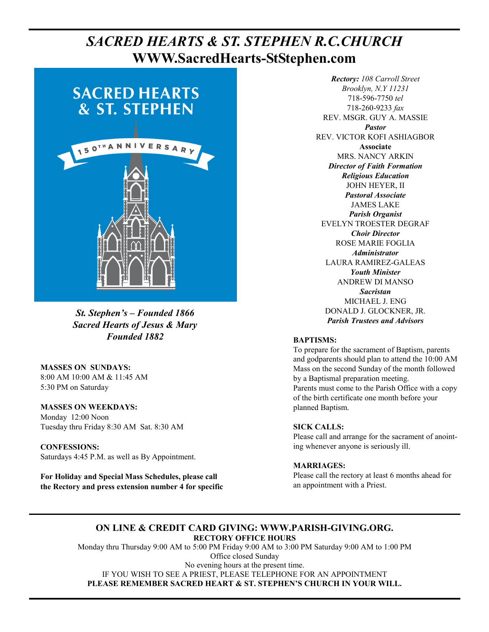# **Page 1, Sunday, February 14, 2016** *SACRED HEARTS & ST. STEPHEN R.C.CHURCH*  **WWW.SacredHearts-StStephen.com**



*St. Stephen's – Founded 1866 Sacred Hearts of Jesus & Mary Founded 1882* 

**MASSES ON SUNDAYS:**  8:00 AM 10:00 AM & 11:45 AM 5:30 PM on Saturday

**MASSES ON WEEKDAYS:**  Monday 12:00 Noon Tuesday thru Friday 8:30 AM Sat. 8:30 AM

**CONFESSIONS:** Saturdays 4:45 P.M. as well as By Appointment.

**For Holiday and Special Mass Schedules, please call the Rectory and press extension number 4 for specific** 

*Rectory: 108 Carroll Street Brooklyn, N.Y 11231*  718-596-7750 *tel* 718-260-9233 *fax* REV. MSGR. GUY A. MASSIE *Pastor*  REV. VICTOR KOFI ASHIAGBOR **Associate**  MRS. NANCY ARKIN *Director of Faith Formation Religious Education*  JOHN HEYER, II *Pastoral Associate*  JAMES LAKE *Parish Organist*  EVELYN TROESTER DEGRAF *Choir Director*  ROSE MARIE FOGLIA *Administrator*  LAURA RAMIREZ-GALEAS *Youth Minister*  ANDREW DI MANSO *Sacristan*  MICHAEL J. ENG DONALD J. GLOCKNER, JR. *Parish Trustees and Advisors* 

# **BAPTISMS:**

To prepare for the sacrament of Baptism, parents and godparents should plan to attend the 10:00 AM Mass on the second Sunday of the month followed by a Baptismal preparation meeting. Parents must come to the Parish Office with a copy of the birth certificate one month before your planned Baptism.

# **SICK CALLS:**

Please call and arrange for the sacrament of anointing whenever anyone is seriously ill.

# **MARRIAGES:**

Please call the rectory at least 6 months ahead for an appointment with a Priest.

# **ON LINE & CREDIT CARD GIVING: WWW.PARISH-GIVING.ORG. RECTORY OFFICE HOURS**

Monday thru Thursday 9:00 AM to 5:00 PM Friday 9:00 AM to 3:00 PM Saturday 9:00 AM to 1:00 PM Office closed Sunday No evening hours at the present time. IF YOU WISH TO SEE A PRIEST, PLEASE TELEPHONE FOR AN APPOINTMENT **PLEASE REMEMBER SACRED HEART & ST. STEPHEN'S CHURCH IN YOUR WILL.**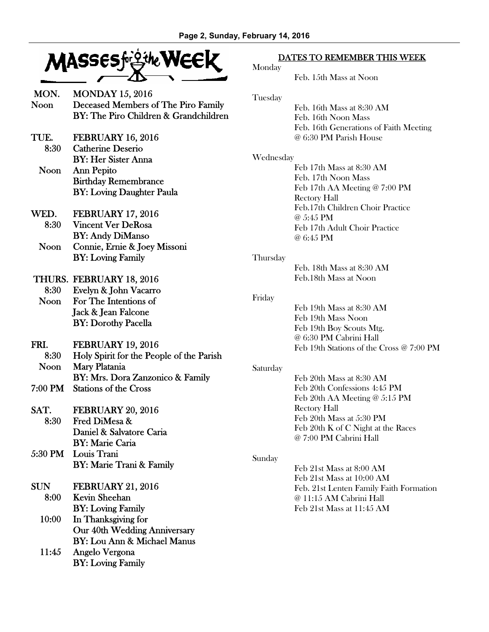

| MON.<br>Noon | <b>MONDAY 15, 2016</b><br>Deceased Members of The Piro Family<br>BY: The Piro Children & Grandchildren |
|--------------|--------------------------------------------------------------------------------------------------------|
| TUE.         | <b>FEBRUARY 16, 2016</b>                                                                               |

 8:30 Catherine Deserio BY: Her Sister Anna Noon Ann Pepito Birthday Remembrance BY: Loving Daughter Paula

WED. FEBRUARY 17, 2016 8:30 Vincent Ver DeRosa BY: Andy DiManso Noon Connie, Ernie & Joey Missoni BY: Loving Family

- THURS. FEBRUARY 18, 2016 8:30 Evelyn & John Vacarro Noon For The Intentions of Jack & Jean Falcone BY: Dorothy Pacella
- FRI. FEBRUARY 19, 2016 8:30 Holy Spirit for the People of the Parish Noon Mary Platania BY: Mrs. Dora Zanzonico & Family 7:00 PM Stations of the Cross
- SAT. FEBRUARY 20, 2016 8:30 Fred DiMesa & Daniel & Salvatore Caria
- BY: Marie Caria 5:30 PM Louis Trani BY: Marie Trani & Family
- SUN FEBRUARY 21, 2016 8:00 Kevin Sheehan BY: Loving Family
	- 10:00 In Thanksgiving for Our 40th Wedding Anniversary BY: Lou Ann & Michael Manus
	- 11:45 Angelo Vergona BY: Loving Family

# DATES TO REMEMBER THIS WEEK

| Mondav |  |
|--------|--|
|        |  |

Feb. 15th Mass at Noon

Tuesday

 Feb. 16th Mass at 8:30 AM Feb. 16th Noon Mass Feb. 16th Generations of Faith Meeting @ 6:30 PM Parish House

#### Wednesday

 Feb 17th Mass at 8:30 AM Feb. 17th Noon Mass Feb 17th AA Meeting @ 7:00 PM Rectory Hall Feb.17th Children Choir Practice @ 5:45 PM Feb 17th Adult Choir Practice @ 6:45 PM

#### **Thursday**

 Feb. 18th Mass at 8:30 AM Feb.18th Mass at Noon

#### Friday

 Feb 19th Mass at 8:30 AM Feb 19th Mass Noon Feb 19th Boy Scouts Mtg. @ 6:30 PM Cabrini Hall Feb 19th Stations of the Cross @ 7:00 PM

# Saturday

 Feb 20th Mass at 8:30 AM Feb 20th Confessions 4:45 PM Feb 20th AA Meeting @ 5:15 PM Rectory Hall Feb 20th Mass at 5:30 PM Feb 20th K of C Night at the Races @ 7:00 PM Cabrini Hall

# Sunday

 Feb 21st Mass at 8:00 AM Feb 21st Mass at 10:00 AM Feb. 21st Lenten Family Faith Formation @ 11:15 AM Cabrini Hall Feb 21st Mass at 11:45 AM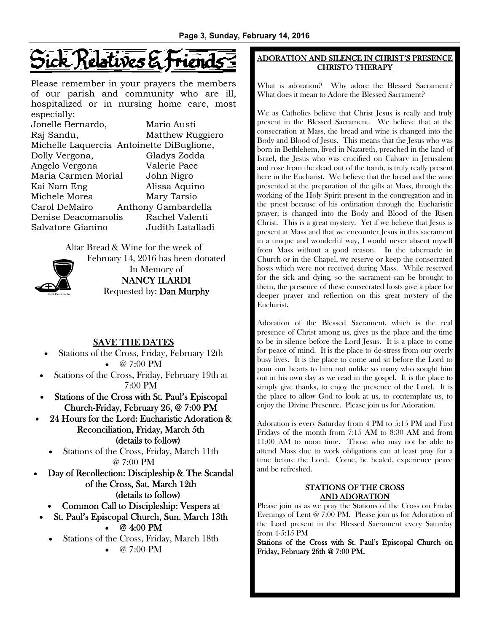# ick Relatives &

Please remember in your prayers the members of our parish and community who are ill, hospitalized or in nursing home care, most especially:

| $\alpha$                                  |                     |
|-------------------------------------------|---------------------|
| Jonelle Bernardo,                         | Mario Austi         |
| Raj Sandu,                                | Matthew Ruggiero    |
| Michelle Laquercia Antoinette DiBuglione, |                     |
| Dolly Vergona,                            | Gladys Zodda        |
| Angelo Vergona                            | Valerie Pace        |
| Maria Carmen Morial                       | John Nigro          |
| Kai Nam Eng                               | Alissa Aquino       |
| Michele Morea                             | Mary Tarsio         |
| Carol DeMairo                             | Anthony Gambardella |
| Denise Deacomanolis                       | Rachel Valenti      |
| Salvatore Gianino                         | Judith Latalladi    |
|                                           |                     |

Altar Bread & Wine for the week of February 14, 2016 has been donated



In Memory of NANCY ILARDI Requested by: Dan Murphy

# SAVE THE DATES

- Stations of the Cross, Friday, February 12th • @ 7:00 PM
- Stations of the Cross, Friday, February 19th at 7:00 PM
- Stations of the Cross with St. Paul's Episcopal Church-Friday, February 26, @ 7:00 PM
- 24 Hours for the Lord: Eucharistic Adoration & Reconciliation, Friday, March 5th (details to follow)
	- Stations of the Cross, Friday, March 11th @ 7:00 PM

• Day of Recollection: Discipleship & The Scandal of the Cross, Sat. March 12th (details to follow)

- Common Call to Discipleship: Vespers at
- St. Paul's Episcopal Church, Sun. March 13th

• @ 4:00 PM

• Stations of the Cross, Friday, March 18th

•  $@ 7:00 PM$ 

# ADORATION AND SILENCE IN CHRIST'S PRESENCE CHRISTO THERAPY

What is adoration? Why adore the Blessed Sacrament? What does it mean to Adore the Blessed Sacrament?

We as Catholics believe that Christ Jesus is really and truly present in the Blessed Sacrament. We believe that at the consecration at Mass, the bread and wine is changed into the Body and Blood of Jesus. This means that the Jesus who was born in Bethlehem, lived in Nazareth, preached in the land of Israel, the Jesus who was crucified on Calvary in Jerusalem and rose from the dead out of the tomb, is truly really present here in the Eucharist. We believe that the bread and the wine presented at the preparation of the gifts at Mass, through the working of the Holy Spirit present in the congregation and in the priest because of his ordination through the Eucharistic prayer, is changed into the Body and Blood of the Risen Christ. This is a great mystery. Yet if we believe that Jesus is present at Mass and that we encounter Jesus in this sacrament in a unique and wonderful way, I would never absent myself from Mass without a good reason. In the tabernacle in Church or in the Chapel, we reserve or keep the consecrated hosts which were not received during Mass. While reserved for the sick and dying, so the sacrament can be brought to them, the presence of these consecrated hosts give a place for deeper prayer and reflection on this great mystery of the Eucharist.

Adoration of the Blessed Sacrament, which is the real presence of Christ among us, gives us the place and the time to be in silence before the Lord Jesus. It is a place to come for peace of mind. It is the place to de-stress from our overly busy lives. It is the place to come and sit before the Lord to pour our hearts to him not unlike so many who sought him out in his own day as we read in the gospel. It is the place to simply give thanks, to enjoy the presence of the Lord. It is the place to allow God to look at us, to contemplate us, to enjoy the Divine Presence. Please join us for Adoration.

Adoration is every Saturday from 4 PM to 5:15 PM and First Fridays of the month from 7:15 AM to 8:30 AM and from 11:00 AM to noon time. Those who may not be able to attend Mass due to work obligations can at least pray for a time before the Lord. Come, be healed, experience peace and be refreshed.

# STATIONS OF THE CROSS AND ADORATION

Please join us as we pray the Stations of the Cross on Friday Evenings of Lent @ 7:00 PM. Please join us for Adoration of the Lord present in the Blessed Sacrament every Saturday from 4-5:15 PM

Stations of the Cross with St. Paul's Episcopal Church on Friday, February 26th @ 7:00 PM.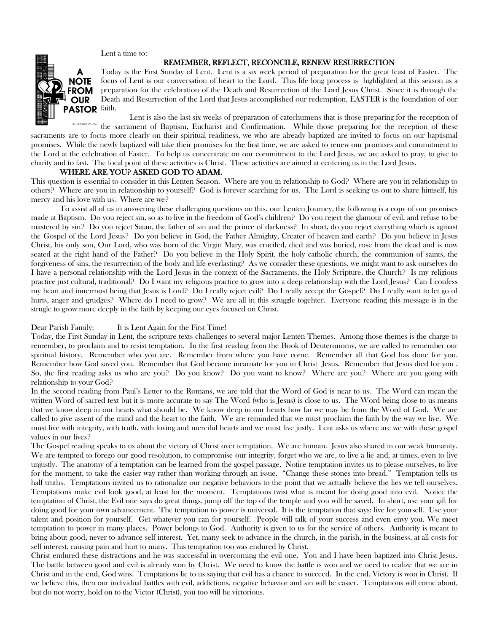Lent a time to:

#### REMEMBER, REFLECT, RECONCILE, RENEW RESURRECTION



Today is the First Sunday of Lent. Lent is a six week period of preparation for the great feast of Easter. The focus of Lent is our conversation of heart to the Lord. This life long process is highlighted at this season as a preparation for the celebration of the Death and Resurrection of the Lord Jesus Christ. Since it is through the Death and Resurrection of the Lord that Jesus accomplished our redemption, EASTER is the foundation of our

Lent is also the last six weeks of preparation of catechumens that is those preparing for the reception of

 $\mathfrak{S}$  J. S. Paluch Co., Inc. the sacrament of Baptism, Eucharist and Confirmation. While those preparing for the reception of these sacraments are to focus more clearly on their spiritual readiness, we who are already baptized are invited to focus on our baptismal promises. While the newly baptized will take their promises for the first time, we are asked to renew our promises and commitment to the Lord at the celebration of Easter. To help us concentrate on our commitment to the Lord Jesus, we are asked to pray, to give to charity and to fast. The focal point of these activities is Christ. These activities are aimed at centering us in the Lord Jesus.

#### WHERE ARE YOU? ASKED GOD TO ADAM.

This question is essential to consider in this Lenten Season. Where are you in relationship to God? Where are you in relationship to others? Where are you in relationship to yourself? God is forever searching for us. The Lord is seeking us out to share himself, his mercy and his love with us. Where are we?

 To assist all of us in answering these challenging questions on this, our Lenten Journey, the following is a copy of our promises made at Baptism. Do you reject sin, so as to live in the freedom of God's children? Do you reject the glamour of evil, and refuse to be mastered by sin? Do you reject Satan, the father of sin and the prince of darkness? In short, do you reject everything which is aginast the Gospel of the Lord Jesus? Do you believe in God, the Father Almighty, Creater of heaven and earth? Do you believe in Jesus Christ, his only son, Our Lord, who was born of the Virgin Mary, was crucifed, died and was buried, rose from the dead and is now seated at the right hand of the Father? Do you believe in the Holy Spirit, the holy catholic church, the communion of saints, the forgiveness of sins, the resurrection of the body and life everlasting? As we consider these questions, we might want to ask ourselves do I have a personal relationship with the Lord Jesus in the context of the Sacraments, the Holy Scripture, the Church? Is my religious practice just cultural, traditional? Do I want my religious practice to grow into a deep relationship with the Lord Jesus? Can I confess my heart and innermost being that Jesus is Lord? Do I really reject evil? Do I really accept the Gospel? Do I really want to let go of hurts, anger and grudges? Where do I need to grow? We are all in this struggle togehter. Everyone reading this message is in the strugle to grow more deeply in the faith by keeping our eyes focused on Christ.

#### Dear Parish Family: It is Lent Again for the First Time!

Today, the First Sunday in Lent, the scripture texts challenges to several major Lenten Themes. Among those themes is the charge to remember, to proclaim and to resist temptation. In the first reading from the Book of Deuteronomy, we are called to remember our spiritual history. Remember who you are. Remember from where you have come. Remember all that God has done for you. Remember how God saved you. Remember that God became incarnate for you in Christ Jesus. Remember that Jesus died for you . So, the first reading asks us who are you? Do you know? Do you want to know? Where are you? Where are you going with relationship to your God?

In the second reading from Paul's Letter to the Romans, we are told that the Word of God is near to us. The Word can mean the written Word of sacred text but it is more accurate to say The Word (who is Jesus) is close to us. The Word being close to us means that we know deep in our hearts what should be. We know deep in our hearts how far we may be from the Word of God. We are called to give assent of the mind and the heart to the faith. We are reminded that we must proclaim the faith by the way we live. We must live with integrity, with truth, with loving and merciful hearts and we must live justly. Lent asks us where are we with these gospel values in our lives?

The Gospel reading speaks to us about the victory of Christ over temptation. We are human. Jesus also shared in our weak humanity. We are tempted to forego our good resolution, to compromise our integrity, forget who we are, to live a lie and, at times, even to live unjustly. The anatomy of a temptation can be learned from the gospel passage. Notice temptation invites us to please ourselves, to live for the moment, to take the easier way rather than working through an issue. "Change these stones into bread." Temptation tells us half truths. Temptations invited us to rationalize our negative behaviors to the point that we actually believe the lies we tell ourselves. Temptations make evil look good, at least for the moment. Temptations twist what is meant for doing good into evil. Notice the temptation of Christ, the Evil one says do great things, jump off the top of the temple and you will be saved. In short, use your gift for doing good for your own advancement. The temptation to power is universal. It is the temptation that says: live for yourself. Use your talent and position for yourself. Get whatever you can for yourself. People will talk of your success and even envy you. We meet temptation to power in many places. Power belongs to God. Authority is given to us for the service of others. Authority is meant to bring about good, never to advance self interest. Yet, many seek to advance in the church, in the parish, in the business, at all costs for self interest, causing pain and hurt to many. This temptation too was endured by Christ.

Christ endured these distractions and he was successful in overcoming the evil one. You and I have been baptized into Christ Jesus. The battle between good and evil is already won by Christ. We need to know the battle is won and we need to realize that we are in Christ and in the end, God wins. Temptations lie to us saying that evil has a chance to succeed. In the end, Victory is won in Christ. If we believe this, then our individual battles with evil, addictions, negative behavior and sin will be easier. Temptations will come about, but do not worry, hold on to the Victor (Christ), you too will be victorious.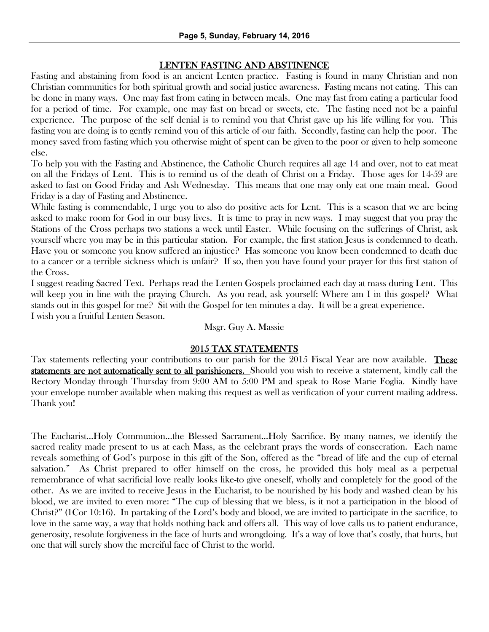# LENTEN FASTING AND ABSTINENCE

Fasting and abstaining from food is an ancient Lenten practice. Fasting is found in many Christian and non Christian communities for both spiritual growth and social justice awareness. Fasting means not eating. This can be done in many ways. One may fast from eating in between meals. One may fast from eating a particular food for a period of time. For example, one may fast on bread or sweets, etc. The fasting need not be a painful experience. The purpose of the self denial is to remind you that Christ gave up his life willing for you. This fasting you are doing is to gently remind you of this article of our faith. Secondly, fasting can help the poor. The money saved from fasting which you otherwise might of spent can be given to the poor or given to help someone else.

To help you with the Fasting and Abstinence, the Catholic Church requires all age 14 and over, not to eat meat on all the Fridays of Lent. This is to remind us of the death of Christ on a Friday. Those ages for 14-59 are asked to fast on Good Friday and Ash Wednesday. This means that one may only eat one main meal. Good Friday is a day of Fasting and Abstinence.

While fasting is commendable, I urge you to also do positive acts for Lent. This is a season that we are being asked to make room for God in our busy lives. It is time to pray in new ways. I may suggest that you pray the Stations of the Cross perhaps two stations a week until Easter. While focusing on the sufferings of Christ, ask yourself where you may be in this particular station. For example, the first station Jesus is condemned to death. Have you or someone you know suffered an injustice? Has someone you know been condemned to death due to a cancer or a terrible sickness which is unfair? If so, then you have found your prayer for this first station of the Cross.

I suggest reading Sacred Text. Perhaps read the Lenten Gospels proclaimed each day at mass during Lent. This will keep you in line with the praying Church. As you read, ask yourself: Where am I in this gospel? What stands out in this gospel for me? Sit with the Gospel for ten minutes a day. It will be a great experience. I wish you a fruitful Lenten Season.

# Msgr. Guy A. Massie

# 2015 TAX STATEMENTS

Tax statements reflecting your contributions to our parish for the 2015 Fiscal Year are now available. These statements are not automatically sent to all parishioners. Should you wish to receive a statement, kindly call the Rectory Monday through Thursday from 9:00 AM to 5:00 PM and speak to Rose Marie Foglia. Kindly have your envelope number available when making this request as well as verification of your current mailing address. Thank you!

The Eucharist...Holy Communion...the Blessed Sacrament...Holy Sacrifice. By many names, we identify the sacred reality made present to us at each Mass, as the celebrant prays the words of consecration. Each name reveals something of God's purpose in this gift of the Son, offered as the "bread of life and the cup of eternal salvation." As Christ prepared to offer himself on the cross, he provided this holy meal as a perpetual remembrance of what sacrificial love really looks like-to give oneself, wholly and completely for the good of the other. As we are invited to receive Jesus in the Eucharist, to be nourished by his body and washed clean by his blood, we are invited to even more: "The cup of blessing that we bless, is it not a participation in the blood of Christ?" (1Cor 10:16). In partaking of the Lord's body and blood, we are invited to participate in the sacrifice, to love in the same way, a way that holds nothing back and offers all. This way of love calls us to patient endurance, generosity, resolute forgiveness in the face of hurts and wrongdoing. It's a way of love that's costly, that hurts, but one that will surely show the merciful face of Christ to the world.